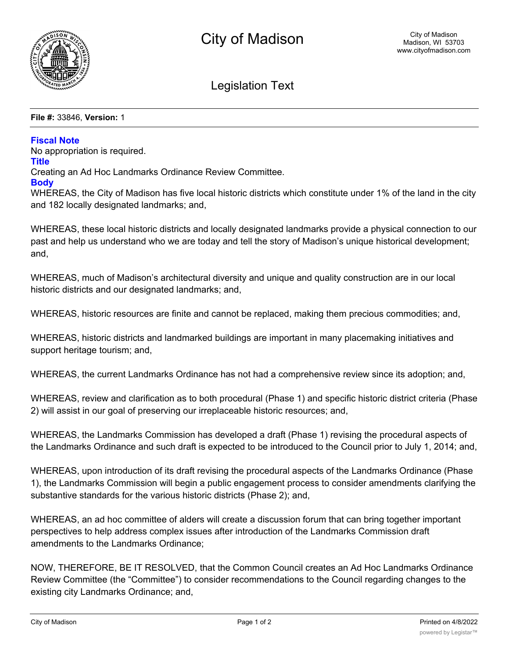

# Legislation Text

#### **File #:** 33846, **Version:** 1

#### **Fiscal Note**

No appropriation is required.

## **Title**

Creating an Ad Hoc Landmarks Ordinance Review Committee.

### **Body**

WHEREAS, the City of Madison has five local historic districts which constitute under 1% of the land in the city and 182 locally designated landmarks; and,

WHEREAS, these local historic districts and locally designated landmarks provide a physical connection to our past and help us understand who we are today and tell the story of Madison's unique historical development; and,

WHEREAS, much of Madison's architectural diversity and unique and quality construction are in our local historic districts and our designated landmarks; and,

WHEREAS, historic resources are finite and cannot be replaced, making them precious commodities; and,

WHEREAS, historic districts and landmarked buildings are important in many placemaking initiatives and support heritage tourism; and,

WHEREAS, the current Landmarks Ordinance has not had a comprehensive review since its adoption; and,

WHEREAS, review and clarification as to both procedural (Phase 1) and specific historic district criteria (Phase 2) will assist in our goal of preserving our irreplaceable historic resources; and,

WHEREAS, the Landmarks Commission has developed a draft (Phase 1) revising the procedural aspects of the Landmarks Ordinance and such draft is expected to be introduced to the Council prior to July 1, 2014; and,

WHEREAS, upon introduction of its draft revising the procedural aspects of the Landmarks Ordinance (Phase 1), the Landmarks Commission will begin a public engagement process to consider amendments clarifying the substantive standards for the various historic districts (Phase 2); and,

WHEREAS, an ad hoc committee of alders will create a discussion forum that can bring together important perspectives to help address complex issues after introduction of the Landmarks Commission draft amendments to the Landmarks Ordinance;

NOW, THEREFORE, BE IT RESOLVED, that the Common Council creates an Ad Hoc Landmarks Ordinance Review Committee (the "Committee") to consider recommendations to the Council regarding changes to the existing city Landmarks Ordinance; and,